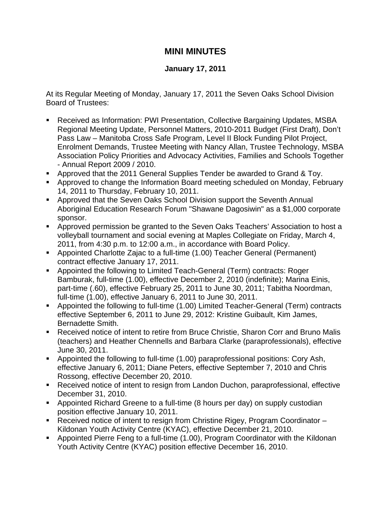## **MINI MINUTES**

## **January 17, 2011**

At its Regular Meeting of Monday, January 17, 2011 the Seven Oaks School Division Board of Trustees:

- Received as Information: PWI Presentation, Collective Bargaining Updates, MSBA Regional Meeting Update, Personnel Matters, 2010-2011 Budget (First Draft), Don't Pass Law – Manitoba Cross Safe Program, Level II Block Funding Pilot Project, Enrolment Demands, Trustee Meeting with Nancy Allan, Trustee Technology, MSBA Association Policy Priorities and Advocacy Activities, Families and Schools Together - Annual Report 2009 / 2010.
- **Approved that the 2011 General Supplies Tender be awarded to Grand & Toy.**
- Approved to change the Information Board meeting scheduled on Monday, February 14, 2011 to Thursday, February 10, 2011.
- Approved that the Seven Oaks School Division support the Seventh Annual Aboriginal Education Research Forum "Shawane Dagosiwin" as a \$1,000 corporate sponsor.
- Approved permission be granted to the Seven Oaks Teachers' Association to host a volleyball tournament and social evening at Maples Collegiate on Friday, March 4, 2011, from 4:30 p.m. to 12:00 a.m., in accordance with Board Policy.
- Appointed Charlotte Zajac to a full-time (1.00) Teacher General (Permanent) contract effective January 17, 2011.
- Appointed the following to Limited Teach-General (Term) contracts: Roger Bamburak, full-time (1.00), effective December 2, 2010 (indefinite); Marina Einis, part-time (.60), effective February 25, 2011 to June 30, 2011; Tabitha Noordman, full-time (1.00), effective January 6, 2011 to June 30, 2011.
- Appointed the following to full-time (1.00) Limited Teacher-General (Term) contracts effective September 6, 2011 to June 29, 2012: Kristine Guibault, Kim James, Bernadette Smith.
- Received notice of intent to retire from Bruce Christie, Sharon Corr and Bruno Malis (teachers) and Heather Chennells and Barbara Clarke (paraprofessionals), effective June 30, 2011.
- Appointed the following to full-time (1.00) paraprofessional positions: Cory Ash, effective January 6, 2011; Diane Peters, effective September 7, 2010 and Chris Rossong, effective December 20, 2010.
- **Received notice of intent to resign from Landon Duchon, paraprofessional, effective** December 31, 2010.
- Appointed Richard Greene to a full-time (8 hours per day) on supply custodian position effective January 10, 2011.
- Received notice of intent to resign from Christine Rigey, Program Coordinator Kildonan Youth Activity Centre (KYAC), effective December 21, 2010.
- Appointed Pierre Feng to a full-time (1.00), Program Coordinator with the Kildonan Youth Activity Centre (KYAC) position effective December 16, 2010.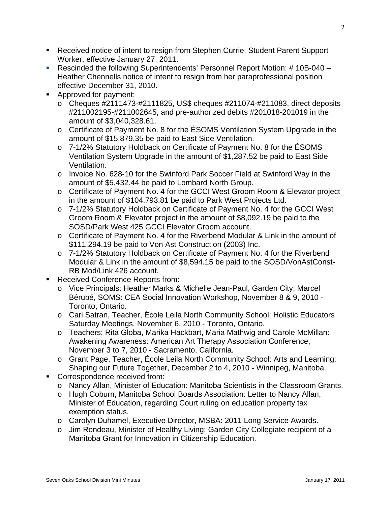- Received notice of intent to resign from Stephen Currie, Student Parent Support Worker, effective January 27, 2011.
- Rescinded the following Superintendents' Personnel Report Motion: # 10B-040 Heather Chennells notice of intent to resign from her paraprofessional position effective December 31, 2010.
- Approved for payment:
	- $\circ$  Cheques #2111473-#2111825, US\$ cheques #211074-#211083, direct deposits #211002195-#211002645, and pre-authorized debits #201018-201019 in the amount of \$3,040,328.61.
	- o Certificate of Payment No. 8 for the ÉSOMS Ventilation System Upgrade in the amount of \$15,879.35 be paid to East Side Ventilation.
	- o 7-1/2% Statutory Holdback on Certificate of Payment No. 8 for the ÉSOMS Ventilation System Upgrade in the amount of \$1,287.52 be paid to East Side Ventilation.
	- o Invoice No. 628-10 for the Swinford Park Soccer Field at Swinford Way in the amount of \$5,432.44 be paid to Lombard North Group.
	- o Certificate of Payment No. 4 for the GCCI West Groom Room & Elevator project in the amount of \$104,793.81 be paid to Park West Projects Ltd.
	- o 7-1/2% Statutory Holdback on Certificate of Payment No. 4 for the GCCI West Groom Room & Elevator project in the amount of \$8,092.19 be paid to the SOSD/Park West 425 GCCI Elevator Groom account.
	- o Certificate of Payment No. 4 for the Riverbend Modular & Link in the amount of \$111,294.19 be paid to Von Ast Construction (2003) Inc.
	- o 7-1/2% Statutory Holdback on Certificate of Payment No. 4 for the Riverbend Modular & Link in the amount of \$8,594.15 be paid to the SOSD/VonAstConst-RB Mod/Link 426 account.
- Received Conference Reports from:
	- o Vice Principals: Heather Marks & Michelle Jean-Paul, Garden City; Marcel Bérubé, SOMS: CEA Social Innovation Workshop, November 8 & 9, 2010 - Toronto, Ontario.
	- o Cari Satran, Teacher, École Leila North Community School: Holistic Educators Saturday Meetings, November 6, 2010 - Toronto, Ontario.
	- o Teachers: Rita Globa, Marika Hackbart, Maria Mathwig and Carole McMillan: Awakening Awareness: American Art Therapy Association Conference, November 3 to 7, 2010 - Sacramento, California.
	- o Grant Page, Teacher, École Leila North Community School: Arts and Learning: Shaping our Future Together, December 2 to 4, 2010 - Winnipeg, Manitoba.
- Correspondence received from:
	- o Nancy Allan, Minister of Education: Manitoba Scientists in the Classroom Grants.
	- o Hugh Coburn, Manitoba School Boards Association: Letter to Nancy Allan, Minister of Education, regarding Court ruling on education property tax exemption status.
	- o Carolyn Duhamel, Executive Director, MSBA: 2011 Long Service Awards.
	- o Jim Rondeau, Minister of Healthy Living: Garden City Collegiate recipient of a Manitoba Grant for Innovation in Citizenship Education.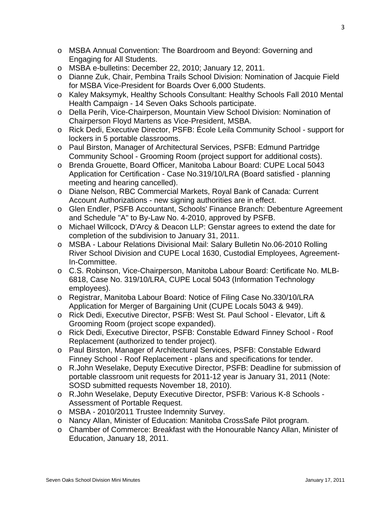- o MSBA Annual Convention: The Boardroom and Beyond: Governing and Engaging for All Students.
- o MSBA e-bulletins: December 22, 2010; January 12, 2011.
- o Dianne Zuk, Chair, Pembina Trails School Division: Nomination of Jacquie Field for MSBA Vice-President for Boards Over 6,000 Students.
- o Kaley Maksymyk, Healthy Schools Consultant: Healthy Schools Fall 2010 Mental Health Campaign - 14 Seven Oaks Schools participate.
- o Della Perih, Vice-Chairperson, Mountain View School Division: Nomination of Chairperson Floyd Martens as Vice-President, MSBA.
- o Rick Dedi, Executive Director, PSFB: École Leila Community School support for lockers in 5 portable classrooms.
- o Paul Birston, Manager of Architectural Services, PSFB: Edmund Partridge Community School - Grooming Room (project support for additional costs).
- o Brenda Grouette, Board Officer, Manitoba Labour Board: CUPE Local 5043 Application for Certification - Case No.319/10/LRA (Board satisfied - planning meeting and hearing cancelled).
- o Diane Nelson, RBC Commercial Markets, Royal Bank of Canada: Current Account Authorizations - new signing authorities are in effect.
- o Glen Endler, PSFB Accountant, Schools' Finance Branch: Debenture Agreement and Schedule "A" to By-Law No. 4-2010, approved by PSFB.
- o Michael Willcock, D'Arcy & Deacon LLP: Genstar agrees to extend the date for completion of the subdivision to January 31, 2011.
- o MSBA Labour Relations Divisional Mail: Salary Bulletin No.06-2010 Rolling River School Division and CUPE Local 1630, Custodial Employees, Agreement-In-Committee.
- o C.S. Robinson, Vice-Chairperson, Manitoba Labour Board: Certificate No. MLB-6818, Case No. 319/10/LRA, CUPE Local 5043 (Information Technology employees).
- o Registrar, Manitoba Labour Board: Notice of Filing Case No.330/10/LRA Application for Merger of Bargaining Unit (CUPE Locals 5043 & 949).
- o Rick Dedi, Executive Director, PSFB: West St. Paul School Elevator, Lift & Grooming Room (project scope expanded).
- o Rick Dedi, Executive Director, PSFB: Constable Edward Finney School Roof Replacement (authorized to tender project).
- o Paul Birston, Manager of Architectural Services, PSFB: Constable Edward Finney School - Roof Replacement - plans and specifications for tender.
- o R.John Weselake, Deputy Executive Director, PSFB: Deadline for submission of portable classroom unit requests for 2011-12 year is January 31, 2011 (Note: SOSD submitted requests November 18, 2010).
- o R.John Weselake, Deputy Executive Director, PSFB: Various K-8 Schools Assessment of Portable Request.
- o MSBA 2010/2011 Trustee Indemnity Survey.
- o Nancy Allan, Minister of Education: Manitoba CrossSafe Pilot program.
- o Chamber of Commerce: Breakfast with the Honourable Nancy Allan, Minister of Education, January 18, 2011.